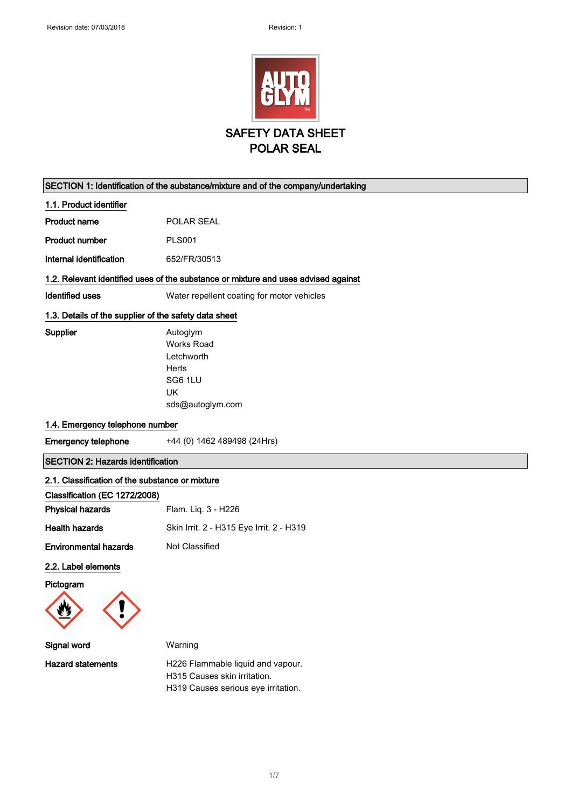

#### SECTION 1: Identification of the substance/mixture and of the company/undertaking

#### 1.1. Product identifier

| <b>Product name</b> | <b>POLAR SEAL</b> |
|---------------------|-------------------|
|                     |                   |

Product number PLS001

Internal identification 652/FR/30513

#### 1.2. Relevant identified uses of the substance or mixture and uses advised against

Identified uses Water repellent coating for motor vehicles

#### 1.3. Details of the supplier of the safety data sheet

Supplier **Autoglym** Works Road Letchworth **Herts** SG6 1LU UK sds@autoglym.com

#### 1.4. Emergency telephone number

Emergency telephone +44 (0) 1462 489498 (24Hrs)

### SECTION 2: Hazards identification

#### 2.1. Classification of the substance or mixture

| Flam. Liq. 3 - H226                      |
|------------------------------------------|
| Skin Irrit. 2 - H315 Eye Irrit. 2 - H319 |
| Not Classified                           |
|                                          |

### 2.2. Label elements

Pictogram



| Warning                                                           |
|-------------------------------------------------------------------|
| H226 Flammable liquid and vapour.<br>H315 Causes skin irritation. |
|                                                                   |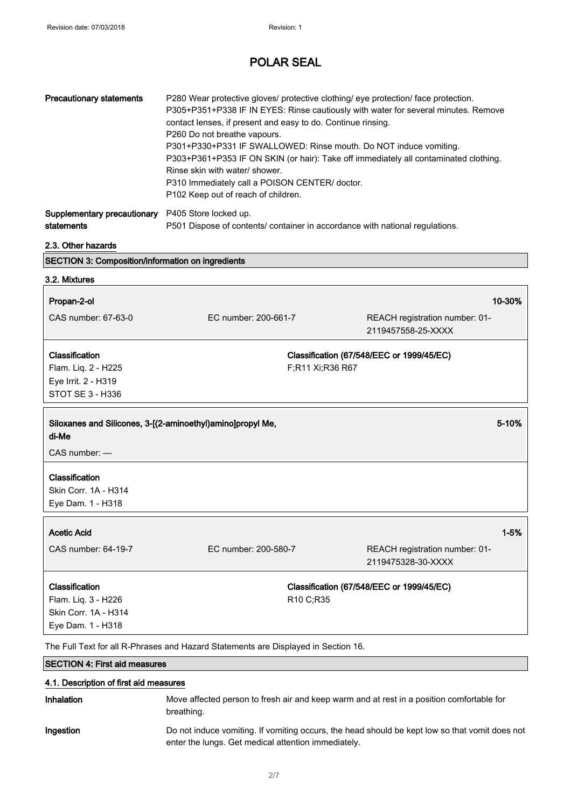| <b>Precautionary statements</b>                                                                   | P280 Wear protective gloves/ protective clothing/ eye protection/ face protection.<br>P305+P351+P338 IF IN EYES: Rinse cautiously with water for several minutes. Remove<br>contact lenses, if present and easy to do. Continue rinsing.<br>P260 Do not breathe vapours.<br>P301+P330+P331 IF SWALLOWED: Rinse mouth. Do NOT induce vomiting.<br>P303+P361+P353 IF ON SKIN (or hair): Take off immediately all contaminated clothing.<br>Rinse skin with water/ shower.<br>P310 Immediately call a POISON CENTER/ doctor.<br>P102 Keep out of reach of children. |                                                                              |  |
|---------------------------------------------------------------------------------------------------|------------------------------------------------------------------------------------------------------------------------------------------------------------------------------------------------------------------------------------------------------------------------------------------------------------------------------------------------------------------------------------------------------------------------------------------------------------------------------------------------------------------------------------------------------------------|------------------------------------------------------------------------------|--|
| Supplementary precautionary<br>statements                                                         | P405 Store locked up.                                                                                                                                                                                                                                                                                                                                                                                                                                                                                                                                            | P501 Dispose of contents/ container in accordance with national regulations. |  |
| 2.3. Other hazards                                                                                |                                                                                                                                                                                                                                                                                                                                                                                                                                                                                                                                                                  |                                                                              |  |
| SECTION 3: Composition/information on ingredients                                                 |                                                                                                                                                                                                                                                                                                                                                                                                                                                                                                                                                                  |                                                                              |  |
| 3.2. Mixtures                                                                                     |                                                                                                                                                                                                                                                                                                                                                                                                                                                                                                                                                                  |                                                                              |  |
| Propan-2-ol                                                                                       |                                                                                                                                                                                                                                                                                                                                                                                                                                                                                                                                                                  | 10-30%                                                                       |  |
| CAS number: 67-63-0                                                                               | EC number: 200-661-7                                                                                                                                                                                                                                                                                                                                                                                                                                                                                                                                             | REACH registration number: 01-<br>2119457558-25-XXXX                         |  |
| Classification<br>Flam. Liq. 2 - H225<br>Eye Irrit. 2 - H319<br>STOT SE 3 - H336                  | Classification (67/548/EEC or 1999/45/EC)<br>F;R11 Xi;R36 R67                                                                                                                                                                                                                                                                                                                                                                                                                                                                                                    |                                                                              |  |
| Siloxanes and Silicones, 3-[(2-aminoethyl)amino]propyl Me,<br>$5 - 10%$<br>di-Me<br>CAS number: - |                                                                                                                                                                                                                                                                                                                                                                                                                                                                                                                                                                  |                                                                              |  |
| Classification<br>Skin Corr. 1A - H314<br>Eye Dam. 1 - H318                                       |                                                                                                                                                                                                                                                                                                                                                                                                                                                                                                                                                                  |                                                                              |  |
| <b>Acetic Acid</b><br>CAS number: 64-19-7                                                         | EC number: 200-580-7                                                                                                                                                                                                                                                                                                                                                                                                                                                                                                                                             | $1 - 5%$<br>REACH registration number: 01-<br>2119475328-30-XXXX             |  |
| Classification<br>Flam. Liq. 3 - H226<br>Skin Corr. 1A - H314<br>Eye Dam. 1 - H318                |                                                                                                                                                                                                                                                                                                                                                                                                                                                                                                                                                                  | Classification (67/548/EEC or 1999/45/EC)<br>R10 C;R35                       |  |

The Full Text for all R-Phrases and Hazard Statements are Displayed in Section 16.

# SECTION 4: First aid measures 4.1. Description of first aid measures Inhalation Move affected person to fresh air and keep warm and at rest in a position comfortable for breathing. Ingestion Do not induce vomiting. If vomiting occurs, the head should be kept low so that vomit does not enter the lungs. Get medical attention immediately.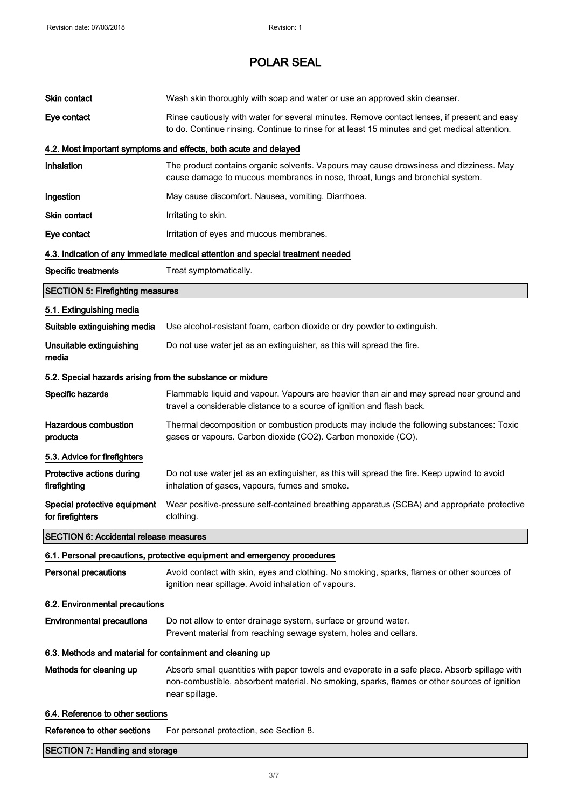| Skin contact                                                           | Wash skin thoroughly with soap and water or use an approved skin cleanser.                                                                                                                                      |  |  |
|------------------------------------------------------------------------|-----------------------------------------------------------------------------------------------------------------------------------------------------------------------------------------------------------------|--|--|
| Eye contact                                                            | Rinse cautiously with water for several minutes. Remove contact lenses, if present and easy<br>to do. Continue rinsing. Continue to rinse for at least 15 minutes and get medical attention.                    |  |  |
|                                                                        | 4.2. Most important symptoms and effects, both acute and delayed                                                                                                                                                |  |  |
| <b>Inhalation</b>                                                      | The product contains organic solvents. Vapours may cause drowsiness and dizziness. May<br>cause damage to mucous membranes in nose, throat, lungs and bronchial system.                                         |  |  |
| Ingestion                                                              | May cause discomfort. Nausea, vomiting. Diarrhoea.                                                                                                                                                              |  |  |
| <b>Skin contact</b>                                                    | Irritating to skin.                                                                                                                                                                                             |  |  |
| Eye contact                                                            | Irritation of eyes and mucous membranes.                                                                                                                                                                        |  |  |
|                                                                        | 4.3. Indication of any immediate medical attention and special treatment needed                                                                                                                                 |  |  |
| <b>Specific treatments</b>                                             | Treat symptomatically.                                                                                                                                                                                          |  |  |
| <b>SECTION 5: Firefighting measures</b>                                |                                                                                                                                                                                                                 |  |  |
| 5.1. Extinguishing media                                               |                                                                                                                                                                                                                 |  |  |
| Suitable extinguishing media                                           | Use alcohol-resistant foam, carbon dioxide or dry powder to extinguish.                                                                                                                                         |  |  |
| Unsuitable extinguishing<br>media                                      | Do not use water jet as an extinguisher, as this will spread the fire.                                                                                                                                          |  |  |
| 5.2. Special hazards arising from the substance or mixture             |                                                                                                                                                                                                                 |  |  |
| Specific hazards                                                       | Flammable liquid and vapour. Vapours are heavier than air and may spread near ground and<br>travel a considerable distance to a source of ignition and flash back.                                              |  |  |
| <b>Hazardous combustion</b><br>products                                | Thermal decomposition or combustion products may include the following substances: Toxic<br>gases or vapours. Carbon dioxide (CO2). Carbon monoxide (CO).                                                       |  |  |
| 5.3. Advice for firefighters                                           |                                                                                                                                                                                                                 |  |  |
| Protective actions during<br>firefighting                              | Do not use water jet as an extinguisher, as this will spread the fire. Keep upwind to avoid<br>inhalation of gases, vapours, fumes and smoke.                                                                   |  |  |
| Special protective equipment<br>for firefighters                       | Wear positive-pressure self-contained breathing apparatus (SCBA) and appropriate protective<br>clothing.                                                                                                        |  |  |
| <b>SECTION 6: Accidental release measures</b>                          |                                                                                                                                                                                                                 |  |  |
|                                                                        | 6.1. Personal precautions, protective equipment and emergency procedures                                                                                                                                        |  |  |
| <b>Personal precautions</b>                                            | Avoid contact with skin, eyes and clothing. No smoking, sparks, flames or other sources of<br>ignition near spillage. Avoid inhalation of vapours.                                                              |  |  |
| 6.2. Environmental precautions                                         |                                                                                                                                                                                                                 |  |  |
| <b>Environmental precautions</b>                                       | Do not allow to enter drainage system, surface or ground water.<br>Prevent material from reaching sewage system, holes and cellars.                                                                             |  |  |
| 6.3. Methods and material for containment and cleaning up              |                                                                                                                                                                                                                 |  |  |
| Methods for cleaning up                                                | Absorb small quantities with paper towels and evaporate in a safe place. Absorb spillage with<br>non-combustible, absorbent material. No smoking, sparks, flames or other sources of ignition<br>near spillage. |  |  |
| 6.4. Reference to other sections                                       |                                                                                                                                                                                                                 |  |  |
| Reference to other sections<br>For personal protection, see Section 8. |                                                                                                                                                                                                                 |  |  |
| <b>SECTION 7: Handling and storage</b>                                 |                                                                                                                                                                                                                 |  |  |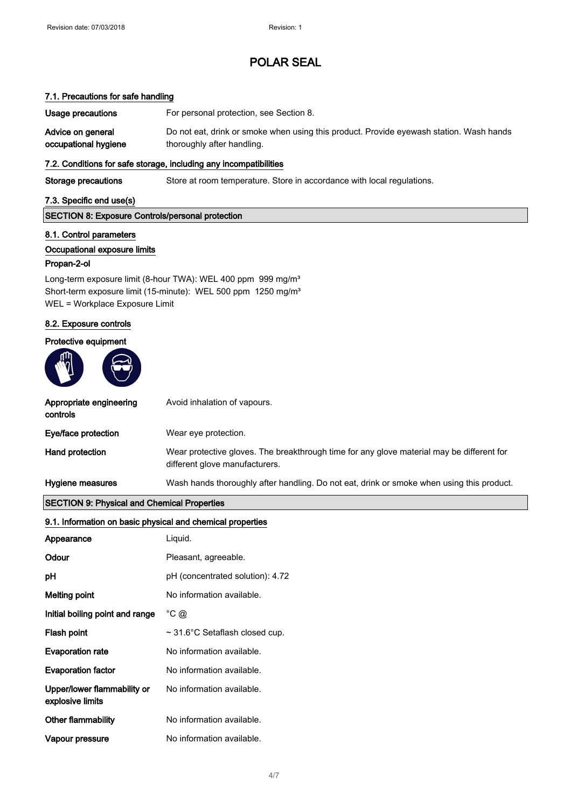#### 7.1. Precautions for safe handling

Usage precautions For personal protection, see Section 8. Advice on general occupational hygiene Do not eat, drink or smoke when using this product. Provide eyewash station. Wash hands thoroughly after handling.

#### 7.2. Conditions for safe storage, including any incompatibilities

Storage precautions Store at room temperature. Store in accordance with local regulations.

#### 7.3. Specific end use(s)

#### SECTION 8: Exposure Controls/personal protection

#### 8.1. Control parameters

#### Occupational exposure limits

#### Propan-2-ol

Long-term exposure limit (8-hour TWA): WEL 400 ppm 999 mg/m<sup>3</sup> Short-term exposure limit (15-minute): WEL 500 ppm 1250 mg/m<sup>3</sup> WEL = Workplace Exposure Limit

#### 8.2. Exposure controls

#### Protective equipment



| Appropriate engineering<br>controls | Avoid inhalation of vapours.                                                                                                |
|-------------------------------------|-----------------------------------------------------------------------------------------------------------------------------|
| Eye/face protection                 | Wear eye protection.                                                                                                        |
| Hand protection                     | Wear protective gloves. The breakthrough time for any glove material may be different for<br>different glove manufacturers. |
| Hygiene measures                    | Wash hands thoroughly after handling. Do not eat, drink or smoke when using this product.                                   |

#### SECTION 9: Physical and Chemical Properties

| 9.1. Information on basic physical and chemical properties |                                     |  |  |
|------------------------------------------------------------|-------------------------------------|--|--|
| Appearance                                                 | Liquid.                             |  |  |
| Odour                                                      | Pleasant, agreeable.                |  |  |
| рH                                                         | pH (concentrated solution): 4.72    |  |  |
| Melting point                                              | No information available.           |  |  |
| Initial boiling point and range                            | $^{\circ}$ C $\omega$               |  |  |
| Flash point                                                | $\sim$ 31.6°C Setaflash closed cup. |  |  |
| <b>Evaporation rate</b>                                    | No information available.           |  |  |
| <b>Evaporation factor</b>                                  | No information available.           |  |  |
| Upper/lower flammability or<br>explosive limits            | No information available.           |  |  |
| Other flammability                                         | No information available.           |  |  |
| Vapour pressure                                            | No information available.           |  |  |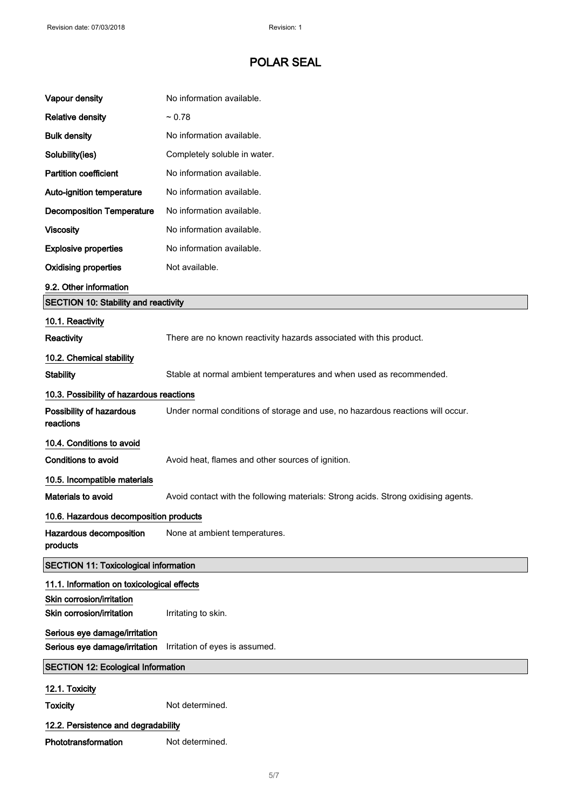| Vapour density                                                 | No information available.                                                          |  |  |
|----------------------------------------------------------------|------------------------------------------------------------------------------------|--|--|
| <b>Relative density</b>                                        | ~10.78                                                                             |  |  |
| <b>Bulk density</b>                                            | No information available.                                                          |  |  |
| Solubility(ies)                                                | Completely soluble in water.                                                       |  |  |
| <b>Partition coefficient</b>                                   | No information available.                                                          |  |  |
| Auto-ignition temperature                                      | No information available.                                                          |  |  |
| <b>Decomposition Temperature</b>                               | No information available.                                                          |  |  |
| <b>Viscosity</b>                                               | No information available.                                                          |  |  |
| <b>Explosive properties</b>                                    | No information available.                                                          |  |  |
| <b>Oxidising properties</b>                                    | Not available.                                                                     |  |  |
| 9.2. Other information                                         |                                                                                    |  |  |
| <b>SECTION 10: Stability and reactivity</b>                    |                                                                                    |  |  |
| 10.1. Reactivity                                               |                                                                                    |  |  |
| Reactivity                                                     | There are no known reactivity hazards associated with this product.                |  |  |
| 10.2. Chemical stability                                       |                                                                                    |  |  |
| <b>Stability</b>                                               | Stable at normal ambient temperatures and when used as recommended.                |  |  |
| 10.3. Possibility of hazardous reactions                       |                                                                                    |  |  |
| Possibility of hazardous<br>reactions                          | Under normal conditions of storage and use, no hazardous reactions will occur.     |  |  |
| 10.4. Conditions to avoid                                      |                                                                                    |  |  |
| <b>Conditions to avoid</b>                                     | Avoid heat, flames and other sources of ignition.                                  |  |  |
| 10.5. Incompatible materials                                   |                                                                                    |  |  |
| <b>Materials to avoid</b>                                      | Avoid contact with the following materials: Strong acids. Strong oxidising agents. |  |  |
| 10.6. Hazardous decomposition products                         |                                                                                    |  |  |
| Hazardous decomposition<br>products                            | None at ambient temperatures.                                                      |  |  |
| <b>SECTION 11: Toxicological information</b>                   |                                                                                    |  |  |
| 11.1. Information on toxicological effects                     |                                                                                    |  |  |
| Skin corrosion/irritation<br>Skin corrosion/irritation         |                                                                                    |  |  |
|                                                                | Irritating to skin.                                                                |  |  |
| Serious eye damage/irritation<br>Serious eye damage/irritation | Irritation of eyes is assumed.                                                     |  |  |
| <b>SECTION 12: Ecological Information</b>                      |                                                                                    |  |  |
|                                                                |                                                                                    |  |  |
| 12.1. Toxicity                                                 | Not determined.                                                                    |  |  |
| <b>Toxicity</b>                                                |                                                                                    |  |  |
| 12.2. Persistence and degradability                            |                                                                                    |  |  |
| Phototransformation                                            | Not determined.                                                                    |  |  |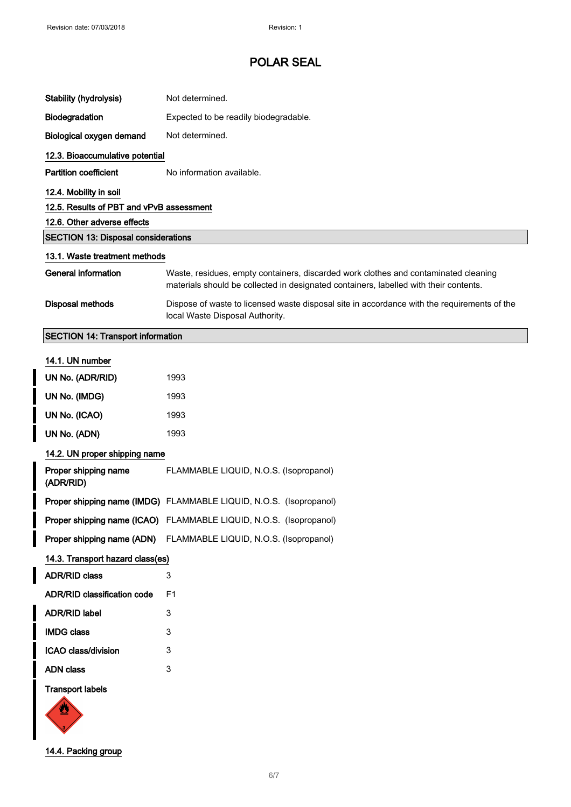| <b>Stability (hydrolysis)</b>              | Not determined.                                                                                                                                                              |  |  |
|--------------------------------------------|------------------------------------------------------------------------------------------------------------------------------------------------------------------------------|--|--|
| Biodegradation                             | Expected to be readily biodegradable.                                                                                                                                        |  |  |
| Biological oxygen demand                   | Not determined.                                                                                                                                                              |  |  |
| 12.3. Bioaccumulative potential            |                                                                                                                                                                              |  |  |
| <b>Partition coefficient</b>               | No information available.                                                                                                                                                    |  |  |
| 12.4. Mobility in soil                     |                                                                                                                                                                              |  |  |
| 12.5. Results of PBT and vPvB assessment   |                                                                                                                                                                              |  |  |
| 12.6. Other adverse effects                |                                                                                                                                                                              |  |  |
| <b>SECTION 13: Disposal considerations</b> |                                                                                                                                                                              |  |  |
| 13.1. Waste treatment methods              |                                                                                                                                                                              |  |  |
| <b>General information</b>                 | Waste, residues, empty containers, discarded work clothes and contaminated cleaning<br>materials should be collected in designated containers, labelled with their contents. |  |  |
| <b>Disposal methods</b>                    | Dispose of waste to licensed waste disposal site in accordance with the requirements of the<br>local Waste Disposal Authority.                                               |  |  |
| <b>SECTION 14: Transport information</b>   |                                                                                                                                                                              |  |  |
| 14.1. UN number                            |                                                                                                                                                                              |  |  |
|                                            |                                                                                                                                                                              |  |  |
| UN No. (ADR/RID)                           | 1993                                                                                                                                                                         |  |  |
| UN No. (IMDG)                              | 1993                                                                                                                                                                         |  |  |
| UN No. (ICAO)                              | 1993                                                                                                                                                                         |  |  |
| UN No. (ADN)                               | 1993                                                                                                                                                                         |  |  |
| 14.2. UN proper shipping name              |                                                                                                                                                                              |  |  |
| Proper shipping name<br>(ADR/RID)          | FLAMMABLE LIQUID, N.O.S. (Isopropanol)                                                                                                                                       |  |  |
|                                            | Proper shipping name (IMDG) FLAMMABLE LIQUID, N.O.S. (Isopropanol)                                                                                                           |  |  |
|                                            | Proper shipping name (ICAO) FLAMMABLE LIQUID, N.O.S. (Isopropanol)                                                                                                           |  |  |
| Proper shipping name (ADN)                 | FLAMMABLE LIQUID, N.O.S. (Isopropanol)                                                                                                                                       |  |  |
| 14.3. Transport hazard class(es)           |                                                                                                                                                                              |  |  |
| <b>ADR/RID class</b>                       | 3                                                                                                                                                                            |  |  |
| <b>ADR/RID classification code</b>         | F <sub>1</sub>                                                                                                                                                               |  |  |
| <b>ADR/RID label</b>                       | 3                                                                                                                                                                            |  |  |
| <b>IMDG class</b>                          | 3                                                                                                                                                                            |  |  |
| ICAO class/division                        | 3                                                                                                                                                                            |  |  |
| <b>ADN</b> class                           | 3                                                                                                                                                                            |  |  |
| <b>Transport labels</b><br>òЧ              |                                                                                                                                                                              |  |  |



14.4. Packing group